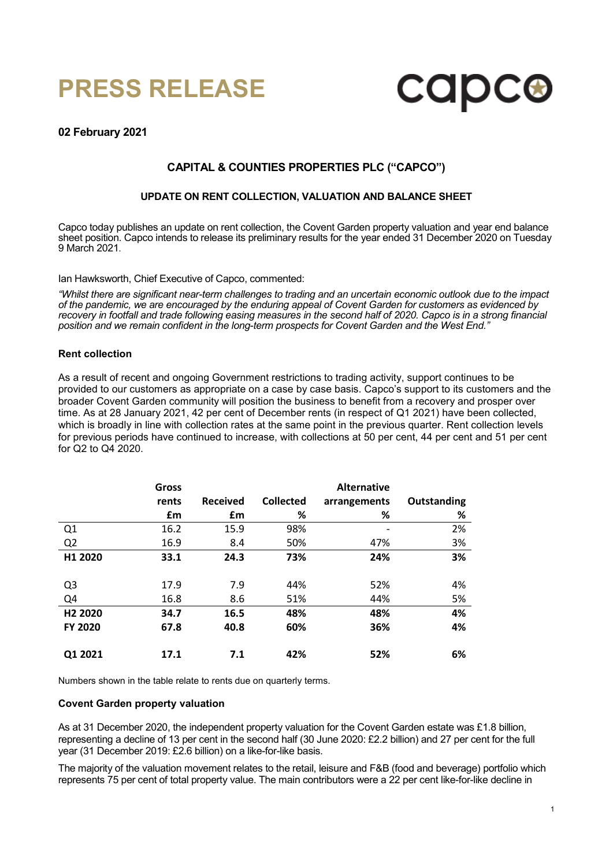# **PRESS RELEASE**

**Capco** 

#### **02 February 2021**

### **CAPITAL & COUNTIES PROPERTIES PLC ("CAPCO")**

#### **UPDATE ON RENT COLLECTION, VALUATION AND BALANCE SHEET**

Capco today publishes an update on rent collection, the Covent Garden property valuation and year end balance sheet position. Capco intends to release its preliminary results for the year ended 31 December 2020 on Tuesday 9 March 2021.

Ian Hawksworth, Chief Executive of Capco, commented:

*"Whilst there are significant near-term challenges to trading and an uncertain economic outlook due to the impact of the pandemic, we are encouraged by the enduring appeal of Covent Garden for customers as evidenced by recovery in footfall and trade following easing measures in the second half of 2020. Capco is in a strong financial position and we remain confident in the long-term prospects for Covent Garden and the West End."*

#### **Rent collection**

As a result of recent and ongoing Government restrictions to trading activity, support continues to be provided to our customers as appropriate on a case by case basis. Capco's support to its customers and the broader Covent Garden community will position the business to benefit from a recovery and prosper over time. As at 28 January 2021, 42 per cent of December rents (in respect of Q1 2021) have been collected, which is broadly in line with collection rates at the same point in the previous quarter. Rent collection levels for previous periods have continued to increase, with collections at 50 per cent, 44 per cent and 51 per cent for Q2 to Q4 2020.

|                     | <b>Gross</b> |                 |                  | <b>Alternative</b> |             |
|---------------------|--------------|-----------------|------------------|--------------------|-------------|
|                     | rents        | <b>Received</b> | <b>Collected</b> | arrangements       | Outstanding |
|                     | £m           | £m              | ℅                | %                  | %           |
| Q1                  | 16.2         | 15.9            | 98%              |                    | 2%          |
| Q <sub>2</sub>      | 16.9         | 8.4             | 50%              | 47%                | 3%          |
| H1 2020             | 33.1         | 24.3            | 73%              | 24%                | 3%          |
|                     |              |                 |                  |                    |             |
| Q <sub>3</sub>      | 17.9         | 7.9             | 44%              | 52%                | 4%          |
| Q4                  | 16.8         | 8.6             | 51%              | 44%                | 5%          |
| H <sub>2</sub> 2020 | 34.7         | 16.5            | 48%              | 48%                | 4%          |
| FY 2020             | 67.8         | 40.8            | 60%              | 36%                | 4%          |
|                     |              |                 |                  |                    |             |
| Q1 2021             | 17.1         | 7.1             | 42%              | 52%                | 6%          |

Numbers shown in the table relate to rents due on quarterly terms.

#### **Covent Garden property valuation**

As at 31 December 2020, the independent property valuation for the Covent Garden estate was £1.8 billion, representing a decline of 13 per cent in the second half (30 June 2020: £2.2 billion) and 27 per cent for the full year (31 December 2019: £2.6 billion) on a like-for-like basis.

The majority of the valuation movement relates to the retail, leisure and F&B (food and beverage) portfolio which represents 75 per cent of total property value. The main contributors were a 22 per cent like-for-like decline in